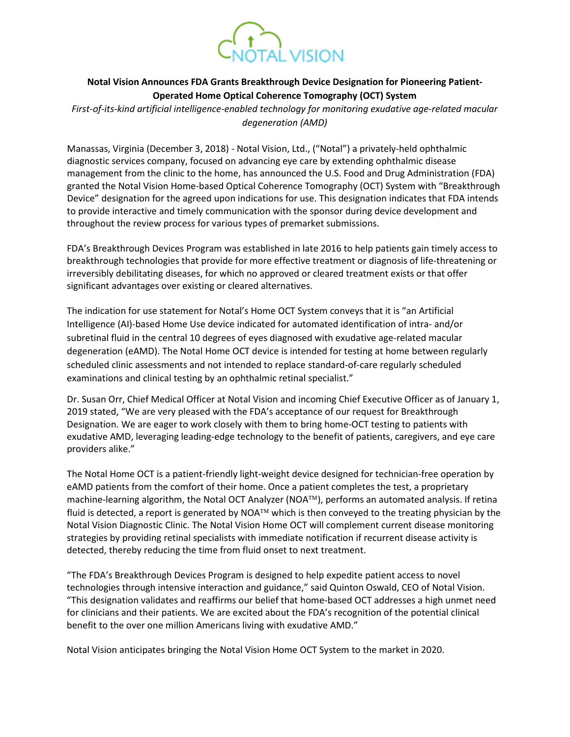

## **Notal Vision Announces FDA Grants Breakthrough Device Designation for Pioneering Patient-Operated Home Optical Coherence Tomography (OCT) System**

*First-of-its-kind artificial intelligence-enabled technology for monitoring exudative age-related macular degeneration (AMD)* 

Manassas, Virginia (December 3, 2018) - Notal Vision, Ltd., ("Notal") a privately-held ophthalmic diagnostic services company, focused on advancing eye care by extending ophthalmic disease management from the clinic to the home, has announced the U.S. Food and Drug Administration (FDA) granted the Notal Vision Home-based Optical Coherence Tomography (OCT) System with "Breakthrough Device" designation for the agreed upon indications for use. This designation indicates that FDA intends to provide interactive and timely communication with the sponsor during device development and throughout the review process for various types of premarket submissions.

FDA's Breakthrough Devices Program was established in late 2016 to help patients gain timely access to breakthrough technologies that provide for more effective treatment or diagnosis of life-threatening or irreversibly debilitating diseases, for which no approved or cleared treatment exists or that offer significant advantages over existing or cleared alternatives.

The indication for use statement for Notal's Home OCT System conveys that it is "an Artificial Intelligence (AI)-based Home Use device indicated for automated identification of intra- and/or subretinal fluid in the central 10 degrees of eyes diagnosed with exudative age-related macular degeneration (eAMD). The Notal Home OCT device is intended for testing at home between regularly scheduled clinic assessments and not intended to replace standard-of-care regularly scheduled examinations and clinical testing by an ophthalmic retinal specialist."

Dr. Susan Orr, Chief Medical Officer at Notal Vision and incoming Chief Executive Officer as of January 1, 2019 stated, "We are very pleased with the FDA's acceptance of our request for Breakthrough Designation. We are eager to work closely with them to bring home-OCT testing to patients with exudative AMD, leveraging leading-edge technology to the benefit of patients, caregivers, and eye care providers alike."

The Notal Home OCT is a patient-friendly light-weight device designed for technician-free operation by eAMD patients from the comfort of their home. Once a patient completes the test, a proprietary machine-learning algorithm, the Notal OCT Analyzer (NOA $TM$ ), performs an automated analysis. If retina fluid is detected, a report is generated by NOA<sup>TM</sup> which is then conveyed to the treating physician by the Notal Vision Diagnostic Clinic. The Notal Vision Home OCT will complement current disease monitoring strategies by providing retinal specialists with immediate notification if recurrent disease activity is detected, thereby reducing the time from fluid onset to next treatment.

"The FDA's Breakthrough Devices Program is designed to help expedite patient access to novel technologies through intensive interaction and guidance," said Quinton Oswald, CEO of Notal Vision. "This designation validates and reaffirms our belief that home-based OCT addresses a high unmet need for clinicians and their patients. We are excited about the FDA's recognition of the potential clinical benefit to the over one million Americans living with exudative AMD."

Notal Vision anticipates bringing the Notal Vision Home OCT System to the market in 2020.